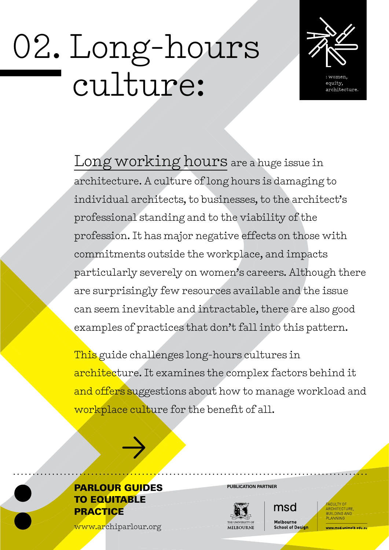# 02. Long-hours culture:



equity, rchitecture

Long working hours are a huge issue in architecture. A culture of long hours is damaging to individual architects, to businesses, to the architect's professional standing and to the viability of the profession. It has major negative effects on those with commitments outside the workplace, and impacts particularly severely on women's careers. Although there are surprisingly few resources available and the issue can seem inevitable and intractable, there are also good examples of practices that don't fall into this pattern.

This guide challenges long-hours cultures in architecture. It examines the complex factors behind it and offers suggestions about how to manage workload and workplace culture for the benefit of all.



>>>

[www.archiparlour.org](http://www.archiparlour.org)



msd Melbourne

**School of Design** 

PLANNING

med unimalh adu s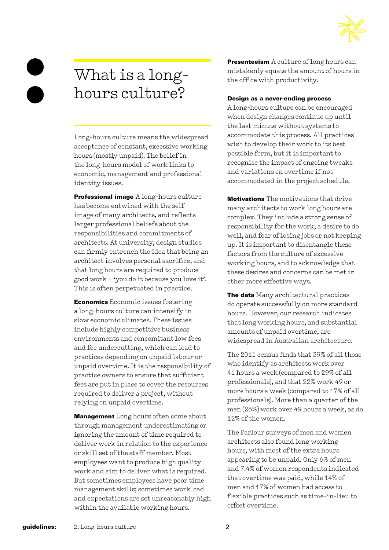

# What is a longhours culture?

Long-hours culture means the widespread acceptance of constant, excessive working hours (mostly unpaid). The belief in the long-hours model of work links to economic, management and professional identity issues.

Professional image A long-hours culture has become entwined with the selfimage of many architects, and reflects larger professional beliefs about the responsibilities and commitments of architects. At university, design studios can firmly entrench the idea that being an architect involves personal sacrifice, and that long hours are required to produce good work – 'you do it because you love it'. This is often perpetuated in practice.

Economics Economic issues fostering a long-hours culture can intensify in slow economic climates. These issues include highly competitive business environments and concomitant low fees and fee undercutting, which can lead to practices depending on unpaid labour or unpaid overtime. It is the responsibility of practice owners to ensure that sufficient fees are put in place to cover the resources required to deliver a project, without relying on unpaid overtime.

**Management** Long hours often come about through management underestimating or ignoring the amount of time required to deliver work in relation to the experience or skill set of the staff member. Most employees want to produce high quality work and aim to deliver what is required. But sometimes employees have poor time management skills; sometimes workload and expectations are set unreasonably high within the available working hours.

**Presenteeism** A culture of long hours can mistakenly equate the amount of hours in the office with productivity.

#### Design as a never-ending process

A long-hours culture can be encouraged when design changes continue up until the last minute without systems to accommodate this process. All practices wish to develop their work to its best possible form, but it is important to recognise the impact of ongoing tweaks and variations on overtime if not accommodated in the project schedule.

Motivations The motivations that drive many architects to work long hours are complex. They include a strong sense of responsibility for the work, a desire to do well, and fear of losing jobs or not keeping up. It is important to disentangle these factors from the culture of excessive working hours, and to acknowledge that these desires and concerns can be met in other more effective ways.

The data Many architectural practices do operate successfully on more standard hours. However, our research indicates that long working hours, and substantial amounts of unpaid overtime, are widespread in Australian architecture.

The 2011 census finds that 39% of all those who identify as architects work over 41 hours a week (compared to 29% of all professionals), and that 22% work 49 or more hours a week (compared to 17% of all professionals). More than a quarter of the men (26%) work over 49 hours a week, as do 12% of the women.

The Parlour surveys of men and women architects also found long working hours, with most of the extra hours appearing to be unpaid. Only 6% of men and 7.4% of women respondents indicated that overtime was paid, while 14% of men and 17% of women had access to flexible practices such as time-in-lieu to offset overtime.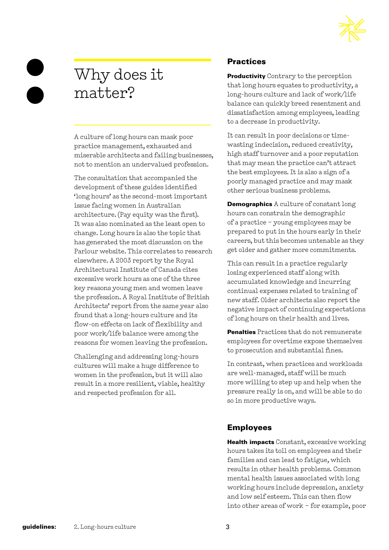

# Why does it matter?

A culture of long hours can mask poor practice management, exhausted and miserable architects and failing businesses, not to mention an undervalued profession.

The consultation that accompanied the development of these guides identified 'long hours' as the second-most important issue facing women in Australian architecture. (Pay equity was the first). It was also nominated as the least open to change. Long hours is also the topic that has generated the most discussion on the Parlour website. This correlates to research elsewhere. A 2003 report by the Royal Architectural Institute of Canada cites excessive work hours as one of the three key reasons young men and women leave the profession. A Royal Institute of British Architects' report from the same year also found that a long-hours culture and its flow-on effects on lack of flexibility and poor work/life balance were among the reasons for women leaving the profession.

Challenging and addressing long-hours cultures will make a huge difference to women in the profession, but it will also result in a more resilient, viable, healthy and respected profession for all.

## **Practices**

**Productivity** Contrary to the perception that long hours equates to productivity, a long-hours culture and lack of work/life balance can quickly breed resentment and dissatisfaction among employees, leading to a decrease in productivity.

It can result in poor decisions or timewasting indecision, reduced creativity, high staff turnover and a poor reputation that may mean the practice can't attract the best employees. It is also a sign of a poorly managed practice and may mask other serious business problems.

Demographics A culture of constant long hours can constrain the demographic of a practice – young employees may be prepared to put in the hours early in their careers, but this becomes untenable as they get older and gather more commitments.

This can result in a practice regularly losing experienced staff along with accumulated knowledge and incurring continual expenses related to training of new staff. Older architects also report the negative impact of continuing expectations of long hours on their health and lives.

Penalties Practices that do not remunerate employees for overtime expose themselves to prosecution and substantial fines.

In contrast, when practices and workloads are well-managed, staff will be much more willing to step up and help when the pressure really is on, and will be able to do so in more productive ways.

# Employees

Health impacts Constant, excessive working hours takes its toll on employees and their families and can lead to fatigue, which results in other health problems. Common mental health issues associated with long working hours include depression, anxiety and low self esteem. This can then flow into other areas of work – for example, poor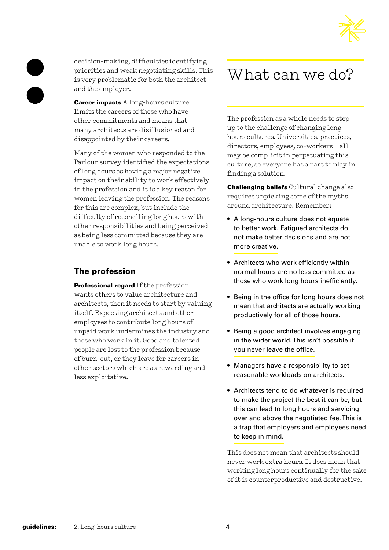



decision-making, difficulties identifying priorities and weak negotiating skills. This is very problematic for both the architect and the employer.

**Career impacts** A long-hours culture limits the careers of those who have other commitments and means that many architects are disillusioned and disappointed by their careers.

Many of the women who responded to the Parlour survey identified the expectations of long hours as having a major negative impact on their ability to work effectively in the profession and it is a key reason for women leaving the profession. The reasons for this are complex, but include the difficulty of reconciling long hours with other responsibilities and being perceived as being less committed because they are unable to work long hours.

### The profession

Professional regard If the profession wants others to value architecture and architects, then it needs to start by valuing itself. Expecting architects and other employees to contribute long hours of unpaid work undermines the industry and those who work in it. Good and talented people are lost to the profession because of burn-out, or they leave for careers in other sectors which are as rewarding and less exploitative.

# What can we do?

The profession as a whole needs to step up to the challenge of changing longhours cultures. Universities, practices, directors, employees, co-workers – all may be complicit in perpetuating this culture, so everyone has a part to play in finding a solution.

Challenging beliefs Cultural change also requires unpicking some of the myths around architecture. Remember:

- A long-hours culture does not equate to better work. Fatigued architects do not make better decisions and are not more creative.
- Architects who work efficiently within normal hours are no less committed as those who work long hours inefficiently.
- Being in the office for long hours does not mean that architects are actually working productively for all of those hours.
- Being a good architect involves engaging in the wider world. This isn't possible if you never leave the office.
- Managers have a responsibility to set reasonable workloads on architects.
- Architects tend to do whatever is required to make the project the best it can be, but this can lead to long hours and servicing over and above the negotiated fee. This is a trap that employers and employees need to keep in mind.

This does not mean that architects should never work extra hours. It does mean that working long hours continually for the sake of it is counterproductive and destructive.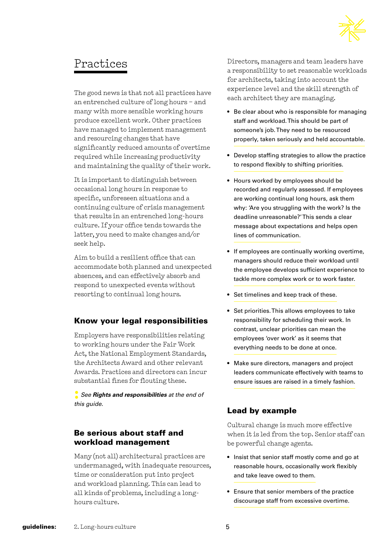

# Practices

The good news is that not all practices have an entrenched culture of long hours – and many with more sensible working hours produce excellent work. Other practices have managed to implement management and resourcing changes that have significantly reduced amounts of overtime required while increasing productivity and maintaining the quality of their work.

It is important to distinguish between occasional long hours in response to specific, unforeseen situations and a continuing culture of crisis management that results in an entrenched long-hours culture. If your office tends towards the latter, you need to make changes and/or seek help.

Aim to build a resilient office that can accommodate both planned and unexpected absences, and can effectively absorb and respond to unexpected events without resorting to continual long hours.

### Know your legal responsibilities

Employers have responsibilities relating to working hours under the Fair Work Act, the National Employment Standards, the Architects Award and other relevant Awards. Practices and directors can incur substantial fines for flouting these.

**:** *See Rights and responsibilities at the end of this guide.*

#### Be serious about staff and workload management

Many (not all) architectural practices are undermanaged, with inadequate resources, time or consideration put into project and workload planning. This can lead to all kinds of problems, including a longhours culture.

Directors, managers and team leaders have a responsibility to set reasonable workloads for architects, taking into account the experience level and the skill strength of each architect they are managing.

- Be clear about who is responsible for managing staff and workload. This should be part of someone's job. They need to be resourced properly, taken seriously and held accountable.
- Develop staffing strategies to allow the practice to respond flexibly to shifting priorities.
- Hours worked by employees should be recorded and regularly assessed. If employees are working continual long hours, ask them why: 'Are you struggling with the work? Is the deadline unreasonable?' This sends a clear message about expectations and helps open lines of communication.
- If employees are continually working overtime, managers should reduce their workload until the employee develops sufficient experience to tackle more complex work or to work faster.
- Set timelines and keep track of these.
- Set priorities. This allows employees to take responsibility for scheduling their work. In contrast, unclear priorities can mean the employees 'over work' as it seems that everything needs to be done at once.
- Make sure directors, managers and project leaders communicate effectively with teams to ensure issues are raised in a timely fashion.

### Lead by example

Cultural change is much more effective when it is led from the top. Senior staff can be powerful change agents.

- Insist that senior staff mostly come and go at reasonable hours, occasionally work flexibly and take leave owed to them.
- Ensure that senior members of the practice discourage staff from excessive overtime.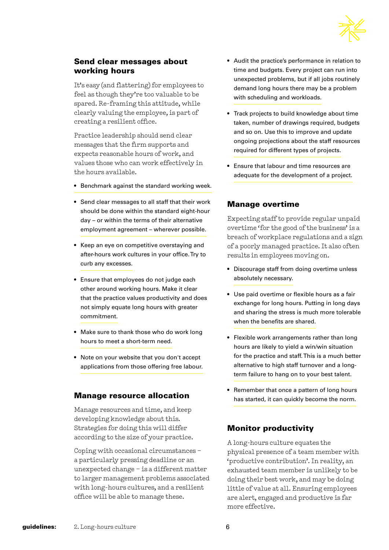

#### Send clear messages about working hours

It's easy (and flattering) for employees to feel as though they're too valuable to be spared. Re-framing this attitude, while clearly valuing the employee, is part of creating a resilient office.

Practice leadership should send clear messages that the firm supports and expects reasonable hours of work, and values those who can work effectively in the hours available.

- Benchmark against the standard working week.
- Send clear messages to all staff that their work should be done within the standard eight-hour day – or within the terms of their alternative employment agreement – wherever possible.
- Keep an eye on competitive overstaying and after-hours work cultures in your office. Try to curb any excesses.
- Ensure that employees do not judge each other around working hours. Make it clear that the practice values productivity and does not simply equate long hours with greater commitment.
- Make sure to thank those who do work long hours to meet a short-term need.
- Note on your website that you don't accept applications from those offering free labour.

#### Manage resource allocation

Manage resources and time, and keep developing knowledge about this. Strategies for doing this will differ according to the size of your practice.

Coping with occasional circumstances – a particularly pressing deadline or an unexpected change – is a different matter to larger management problems associated with long-hours cultures, and a resilient office will be able to manage these.

- Audit the practice's performance in relation to time and budgets. Every project can run into unexpected problems, but if all jobs routinely demand long hours there may be a problem with scheduling and workloads.
- Track projects to build knowledge about time taken, number of drawings required, budgets and so on. Use this to improve and update ongoing projections about the staff resources required for different types of projects.
- Ensure that labour and time resources are adequate for the development of a project.

#### Manage overtime

Expecting staff to provide regular unpaid overtime 'for the good of the business' is a breach of workplace regulations and a sign of a poorly managed practice. It also often results in employees moving on.

- Discourage staff from doing overtime unless absolutely necessary.
- Use paid overtime or flexible hours as a fair exchange for long hours. Putting in long days and sharing the stress is much more tolerable when the benefits are shared.
- Flexible work arrangements rather than long hours are likely to yield a win/win situation for the practice and staff. This is a much better alternative to high staff turnover and a longterm failure to hang on to your best talent.
- Remember that once a pattern of long hours has started, it can quickly become the norm.

### Monitor productivity

A long-hours culture equates the physical presence of a team member with 'productive contribution'. In reality, an exhausted team member is unlikely to be doing their best work, and may be doing little of value at all. Ensuring employees are alert, engaged and productive is far more effective.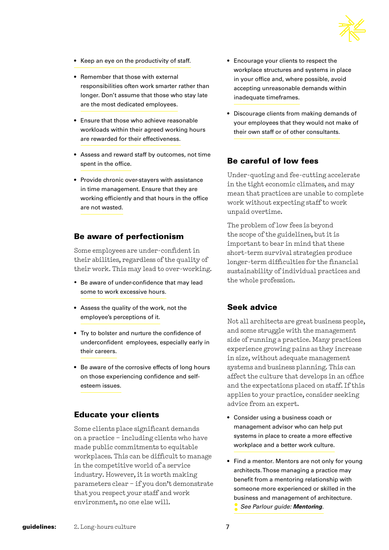

- Keep an eye on the productivity of staff.
- Remember that those with external responsibilities often work smarter rather than longer. Don't assume that those who stay late are the most dedicated employees.
- Ensure that those who achieve reasonable workloads within their agreed working hours are rewarded for their effectiveness.
- Assess and reward staff by outcomes, not time spent in the office.
- Provide chronic over-stayers with assistance in time management. Ensure that they are working efficiently and that hours in the office are not wasted.

#### Be aware of perfectionism

Some employees are under-confident in their abilities, regardless of the quality of their work. This may lead to over-working.

- Be aware of under-confidence that may lead some to work excessive hours.
- Assess the quality of the work, not the employee's perceptions of it.
- Try to bolster and nurture the confidence of underconfident employees, especially early in their careers.
- Be aware of the corrosive effects of long hours on those experiencing confidence and selfesteem issues.

#### Educate your clients

Some clients place significant demands on a practice – including clients who have made public commitments to equitable workplaces. This can be difficult to manage in the competitive world of a service industry. However, it is worth making parameters clear – if you don't demonstrate that you respect your staff and work environment, no one else will.

- Encourage your clients to respect the workplace structures and systems in place in your office and, where possible, avoid accepting unreasonable demands within inadequate timeframes.
- Discourage clients from making demands of your employees that they would not make of their own staff or of other consultants.

#### Be careful of low fees

Under-quoting and fee-cutting accelerate in the tight economic climates, and may mean that practices are unable to complete work without expecting staff to work unpaid overtime.

The problem of low fees is beyond the scope of the guidelines, but it is important to bear in mind that these short-term survival strategies produce longer-term difficulties for the financial sustainability of individual practices and the whole profession.

#### Seek advice

Not all architects are great business people, and some struggle with the management side of running a practice. Many practices experience growing pains as they increase in size, without adequate management systems and business planning. This can affect the culture that develops in an office and the expectations placed on staff. If this applies to your practice, consider seeking advice from an expert.

- Consider using a business coach or management advisor who can help put systems in place to create a more effective workplace and a better work culture.
- Find a mentor. Mentors are not only for young architects. Those managing a practice may benefit from a mentoring relationship with someone more experienced or skilled in the business and management of architecture. **:** *See Parlour guide: Mentoring.*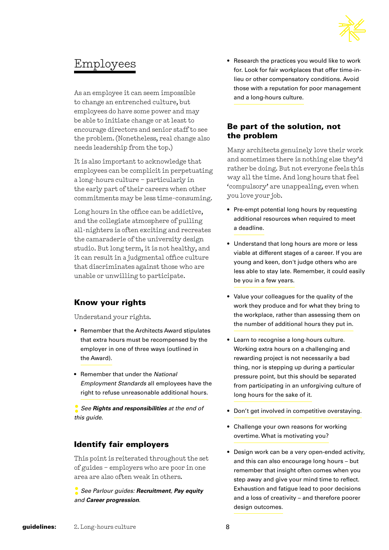

# Employees

As an employee it can seem impossible to change an entrenched culture, but employees do have some power and may be able to initiate change or at least to encourage directors and senior staff to see the problem. (Nonetheless, real change also needs leadership from the top.)

It is also important to acknowledge that employees can be complicit in perpetuating a long-hours culture – particularly in the early part of their careers when other commitments may be less time-consuming.

Long hours in the office can be addictive, and the collegiate atmosphere of pulling all-nighters is often exciting and recreates the camaraderie of the university design studio. But long term, it is not healthy, and it can result in a judgmental office culture that discriminates against those who are unable or unwilling to participate.

### Know your rights

Understand your rights.

- Remember that the Architects Award stipulates that extra hours must be recompensed by the employer in one of three ways (outlined in the Award).
- Remember that under the *National Employment Standards* all employees have the right to refuse unreasonable additional hours.

**:** *See Rights and responsibilities at the end of this guide.*

### Identify fair employers

This point is reiterated throughout the set of guides – employers who are poor in one area are also often weak in others.

**:** *See Parlour guides: Recruitment, Pay equity and Career progression*.

• Research the practices you would like to work for. Look for fair workplaces that offer time-inlieu or other compensatory conditions. Avoid those with a reputation for poor management and a long-hours culture.

#### Be part of the solution, not the problem

Many architects genuinely love their work and sometimes there is nothing else they'd rather be doing. But not everyone feels this way all the time. And long hours that feel 'compulsory' are unappealing, even when you love your job.

- Pre-empt potential long hours by requesting additional resources when required to meet a deadline.
- Understand that long hours are more or less viable at different stages of a career. If you are young and keen, don't judge others who are less able to stay late. Remember, it could easily be you in a few years.
- Value your colleagues for the quality of the work they produce and for what they bring to the workplace, rather than assessing them on the number of additional hours they put in.
- Learn to recognise a long-hours culture. Working extra hours on a challenging and rewarding project is not necessarily a bad thing, nor is stepping up during a particular pressure point, but this should be separated from participating in an unforgiving culture of long hours for the sake of it.
- Don't get involved in competitive overstaying.
- Challenge your own reasons for working overtime. What is motivating you?
- Design work can be a very open-ended activity, and this can also encourage long hours – but remember that insight often comes when you step away and give your mind time to reflect. Exhaustion and fatigue lead to poor decisions and a loss of creativity – and therefore poorer design outcomes.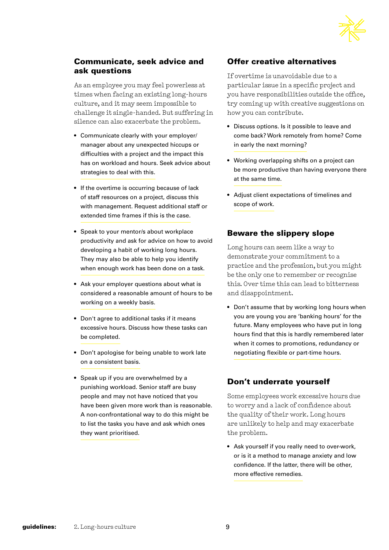

#### Communicate, seek advice and ask questions

As an employee you may feel powerless at times when facing an existing long-hours culture, and it may seem impossible to challenge it single-handed. But suffering in silence can also exacerbate the problem.

- Communicate clearly with your employer/ manager about any unexpected hiccups or difficulties with a project and the impact this has on workload and hours. Seek advice about strategies to deal with this.
- If the overtime is occurring because of lack of staff resources on a project, discuss this with management. Request additional staff or extended time frames if this is the case.
- Speak to your mentor/s about workplace productivity and ask for advice on how to avoid developing a habit of working long hours. They may also be able to help you identify when enough work has been done on a task.
- Ask your employer questions about what is considered a reasonable amount of hours to be working on a weekly basis.
- Don't agree to additional tasks if it means excessive hours. Discuss how these tasks can be completed.
- Don't apologise for being unable to work late on a consistent basis.
- Speak up if you are overwhelmed by a punishing workload. Senior staff are busy people and may not have noticed that you have been given more work than is reasonable. A non-confrontational way to do this might be to list the tasks you have and ask which ones they want prioritised.

#### Offer creative alternatives

If overtime is unavoidable due to a particular issue in a specific project and you have responsibilities outside the office, try coming up with creative suggestions on how you can contribute.

- Discuss options. Is it possible to leave and come back? Work remotely from home? Come in early the next morning?
- Working overlapping shifts on a project can be more productive than having everyone there at the same time.
- Adjust client expectations of timelines and scope of work.

#### Beware the slippery slope

Long hours can seem like a way to demonstrate your commitment to a practice and the profession, but you might be the only one to remember or recognise this. Over time this can lead to bitterness and disappointment.

• Don't assume that by working long hours when you are young you are 'banking hours' for the future. Many employees who have put in long hours find that this is hardly remembered later when it comes to promotions, redundancy or negotiating flexible or part-time hours.

#### Don't underrate yourself

Some employees work excessive hours due to worry and a lack of confidence about the quality of their work. Long hours are unlikely to help and may exacerbate the problem.

• Ask yourself if you really need to over-work, or is it a method to manage anxiety and low confidence. If the latter, there will be other, more effective remedies.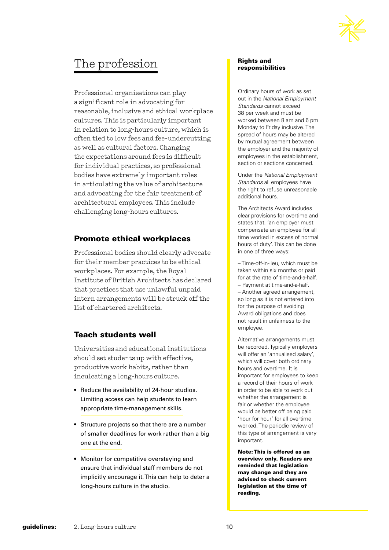

# The profession

Professional organisations can play a significant role in advocating for reasonable, inclusive and ethical workplace cultures. This is particularly important in relation to long-hours culture, which is often tied to low fees and fee-undercutting as well as cultural factors. Changing the expectations around fees is difficult for individual practices, so professional bodies have extremely important roles in articulating the value of architecture and advocating for the fair treatment of architectural employees. This include challenging long-hours cultures.

#### Promote ethical workplaces

Professional bodies should clearly advocate for their member practices to be ethical workplaces. For example, the Royal Institute of British Architects has declared that practices that use unlawful unpaid intern arrangements will be struck off the list of chartered architects.

#### Teach students well

Universities and educational institutions should set students up with effective, productive work habits, rather than inculcating a long-hours culture.

- Reduce the availability of 24-hour studios. Limiting access can help students to learn appropriate time-management skills.
- Structure projects so that there are a number of smaller deadlines for work rather than a big one at the end.
- Monitor for competitive overstaying and ensure that individual staff members do not implicitly encourage it. This can help to deter a long-hours culture in the studio.

#### Rights and responsibilities

Ordinary hours of work as set out in the *National Employment Standards* cannot exceed 38 per week and must be worked between 8 am and 6 pm Monday to Friday inclusive. The spread of hours may be altered by mutual agreement between the employer and the majority of employees in the establishment, section or sections concerned.

Under the *National Employment Standards* all employees have the right to refuse unreasonable additional hours.

The Architects Award includes clear provisions for overtime and states that, 'an employer must compensate an employee for all time worked in excess of normal hours of duty'. This can be done in one of three ways:

– Time-off-in-lieu, which must be taken within six months or paid for at the rate of time-and-a-half. – Payment at time-and-a-half. – Another agreed arrangement, so long as it is not entered into for the purpose of avoiding Award obligations and does not result in unfairness to the employee.

Alternative arrangements must be recorded. Typically employers will offer an 'annualised salary', which will cover both ordinary hours and overtime. It is important for employees to keep a record of their hours of work in order to be able to work out whether the arrangement is fair or whether the employee would be better off being paid 'hour for hour' for all overtime worked. The periodic review of this type of arrangement is very important.

Note: This is offered as an overview only. Readers are reminded that legislation may change and they are advised to check current legislation at the time of reading.